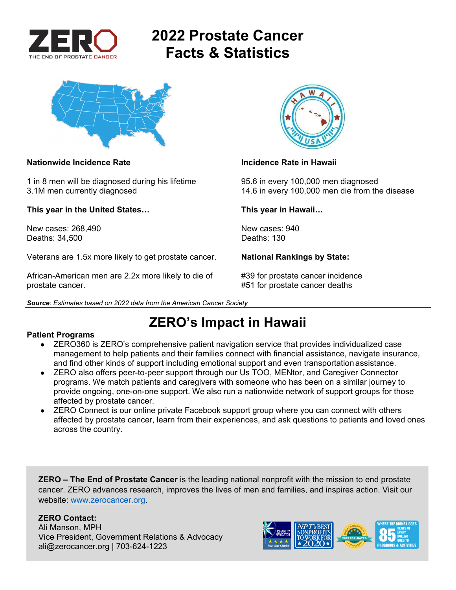

# **2022 Prostate Cancer Facts & Statistics**



### **Nationwide Incidence Rate Incidence Rate in Hawaii**

1 in 8 men will be diagnosed during his lifetime 95.6 in every 100,000 men diagnosed

**This year in the United States… This year in Hawaii…** 

New cases: 268,490 New cases: 940 Deaths: 34,500 Deaths: 130

Veterans are 1.5x more likely to get prostate cancer. **National Rankings by State:** 

African-American men are 2.2x more likely to die of #39 for prostate cancer incidence prostate cancer. #51 for prostate cancer deaths

*Source: Estimates based on 2022 data from the American Cancer Society* 



3.1M men currently diagnosed 14.6 in every 100,000 men die from the disease

**ZERO's Impact in Hawaii** 

### **Patient Programs**

- ZERO360 is ZERO's comprehensive patient navigation service that provides individualized case management to help patients and their families connect with financial assistance, navigate insurance, and find other kinds of support including emotional support and even transportation assistance.
- ZERO also offers peer-to-peer support through our Us TOO, MENtor, and Caregiver Connector programs. We match patients and caregivers with someone who has been on a similar journey to provide ongoing, one-on-one support. We also run a nationwide network of support groups for those affected by prostate cancer.
- ZERO Connect is our online private Facebook support group where you can connect with others affected by prostate cancer, learn from their experiences, and ask questions to patients and loved ones across the country.

**ZERO – The End of Prostate Cancer** is the leading national nonprofit with the mission to end prostate cancer. ZERO advances research, improves the lives of men and families, and inspires action. Visit our website: www.zerocancer.org.

### **ZERO Contact:**

Ali Manson, MPH Vice President, Government Relations & Advocacy ali@zerocancer.org | 703-624-1223